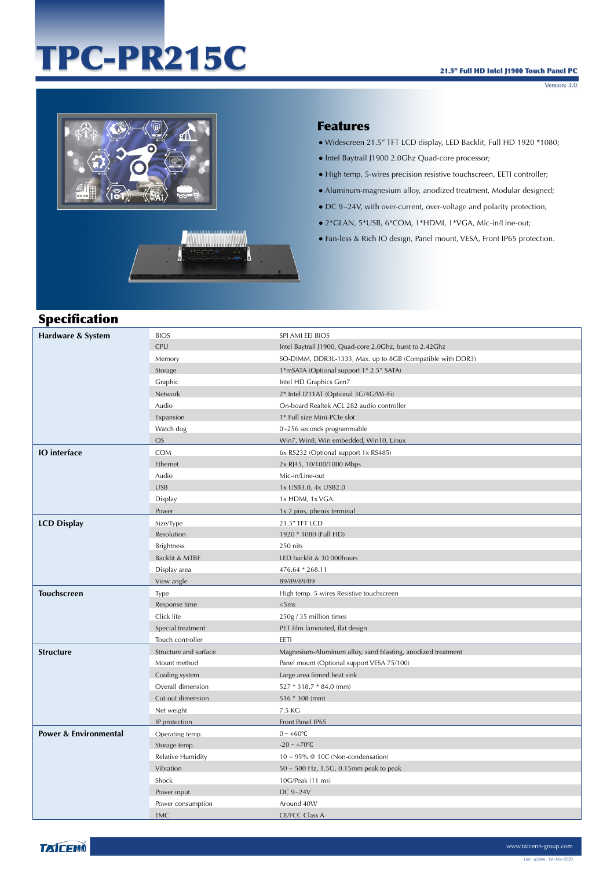# TPC-PR215C

Version: 3.0



### Features

- Widescreen 21.5" TFT LCD display, LED Backlit, Full HD 1920 \*1080;
- Intel Baytrail J1900 2.0Ghz Quad-core processor;
- High temp. 5-wires precision resistive touchscreen, EETI controller;
- Aluminum-magnesium alloy, anodized treatment, Modular designed;
- DC 9~24V, with over-current, over-voltage and polarity protection;
- 2\*GLAN, 5\*USB, 6\*COM, 1\*HDMI, 1\*VGA, Mic-in/Line-out;
- Fan-less & Rich IO design, Panel mount, VESA, Front IP65 protection.

## Specification

| Hardware & System                | <b>BIOS</b>           | SPI AMI EEI BIOS                                            |
|----------------------------------|-----------------------|-------------------------------------------------------------|
|                                  | <b>CPU</b>            | Intel Baytrail J1900, Quad-core 2.0Ghz, burst to 2.42Ghz    |
|                                  | Memory                | SO-DIMM, DDR3L-1333, Max. up to 8GB (Compatible with DDR3)  |
|                                  | Storage               | 1*mSATA (Optional support 1* 2.5" SATA)                     |
|                                  | Graphic               | Intel HD Graphics Gen7                                      |
|                                  | Network               | 2* Intel I211AT (Optional 3G/4G/Wi-Fi)                      |
|                                  | Audio                 | On-board Realtek ACL 282 audio controller                   |
|                                  | Expansion             | 1* Full size Mini-PCIe slot                                 |
|                                  | Watch dog             | 0~256 seconds programmable                                  |
|                                  | <b>OS</b>             | Win7, Win8, Win embedded, Win10, Linux                      |
| <b>IO</b> interface              | COM                   | 6x RS232 (Optional support 1x RS485)                        |
|                                  | Ethernet              | 2x RJ45, 10/100/1000 Mbps                                   |
|                                  | Audio                 | Mic-in/Line-out                                             |
|                                  | <b>USB</b>            | 1x USB3.0, 4x USB2.0                                        |
|                                  | Display               | 1x HDMI, 1x VGA                                             |
|                                  | Power                 | 1x 2 pins, phenix terminal                                  |
| <b>LCD Display</b>               | Size/Type             | 21.5" TFT LCD                                               |
|                                  | Resolution            | 1920 * 1080 (Full HD)                                       |
|                                  | <b>Brightness</b>     | 250 nits                                                    |
|                                  | Backlit & MTBF        | LED backlit & 30 000hours                                   |
|                                  | Display area          | 476.64 * 268.11                                             |
|                                  | View angle            | 89/89/89/89                                                 |
| <b>Touchscreen</b>               | Type                  | High temp. 5-wires Resistive touchscreen                    |
|                                  | Response time         | <5ms                                                        |
|                                  | Click life            | 250g / 35 million times                                     |
|                                  | Special treatment     | PET film laminated, flat design                             |
|                                  | Touch controller      | EETI                                                        |
| <b>Structure</b>                 | Structure and surface | Magnesium-Aluminum alloy, sand blasting, anodized treatment |
|                                  | Mount method          | Panel mount (Optional support VESA 75/100)                  |
|                                  | Cooling system        | Large area finned heat sink                                 |
|                                  | Overall dimension     | 527 * 318.7 * 84.0 (mm)                                     |
|                                  | Cut-out dimension     | $516 * 308$ (mm)                                            |
|                                  | Net weight            | 7.5 KG                                                      |
|                                  | IP protection         | Front Panel IP65                                            |
| <b>Power &amp; Environmental</b> | Operating temp.       | $0 \sim +60$ °C                                             |
|                                  | Storage temp.         | $-20 \sim +70$ °C                                           |
|                                  | Relative Humidity     | $10 \sim 95\%$ @ 10C (Non-condensation)                     |
|                                  | Vibration             | $50 \sim 500$ Hz, 1.5G, 0.15mm peak to peak                 |
|                                  | Shock                 | 10G/Peak (11 ms)                                            |
|                                  | Power input           | DC 9~24V                                                    |
|                                  | Power consumption     | Around 40W                                                  |
|                                  | <b>EMC</b>            | <b>CE/FCC Class A</b>                                       |